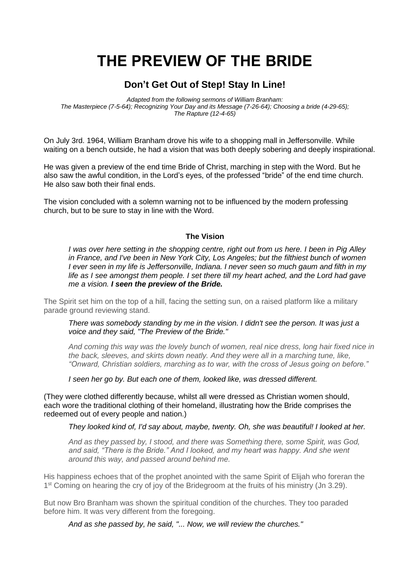# **THE PREVIEW OF THE BRIDE**

# **Don't Get Out of Step! Stay In Line!**

*Adapted from the following sermons of William Branham: The Masterpiece (7-5-64); Recognizing Your Day and its Message (7-26-64); Choosing a bride (4-29-65); The Rapture (12-4-65)*

On July 3rd. 1964, William Branham drove his wife to a shopping mall in Jeffersonville. While waiting on a bench outside, he had a vision that was both deeply sobering and deeply inspirational.

He was given a preview of the end time Bride of Christ, marching in step with the Word. But he also saw the awful condition, in the Lord's eyes, of the professed "bride" of the end time church. He also saw both their final ends.

The vision concluded with a solemn warning not to be influenced by the modern professing church, but to be sure to stay in line with the Word.

## **The Vision**

*I was over here setting in the shopping centre, right out from us here. I been in Pig Alley in France, and I've been in New York City, Los Angeles; but the filthiest bunch of women I ever seen in my life is Jeffersonville, Indiana. I never seen so much gaum and filth in my life as I see amongst them people. I set there till my heart ached, and the Lord had gave me a vision. I seen the preview of the Bride.* 

The Spirit set him on the top of a hill, facing the setting sun, on a raised platform like a military parade ground reviewing stand.

*There was somebody standing by me in the vision. I didn't see the person. It was just a voice and they said, "The Preview of the Bride."*

*And coming this way was the lovely bunch of women, real nice dress, long hair fixed nice in the back, sleeves, and skirts down neatly. And they were all in a marching tune, like, "Onward, Christian soldiers, marching as to war, with the cross of Jesus going on before."*

*I seen her go by. But each one of them, looked like, was dressed different.* 

(They were clothed differently because, whilst all were dressed as Christian women should, each wore the traditional clothing of their homeland, illustrating how the Bride comprises the redeemed out of every people and nation.)

*They looked kind of, I'd say about, maybe, twenty. Oh, she was beautiful! I looked at her.* 

*And as they passed by, I stood, and there was Something there, some Spirit, was God, and said, "There is the Bride." And I looked, and my heart was happy. And she went around this way, and passed around behind me.*

His happiness echoes that of the prophet anointed with the same Spirit of Elijah who foreran the 1<sup>st</sup> Coming on hearing the cry of joy of the Bridegroom at the fruits of his ministry (Jn 3.29).

But now Bro Branham was shown the spiritual condition of the churches. They too paraded before him. It was very different from the foregoing.

*And as she passed by, he said, "... Now, we will review the churches."*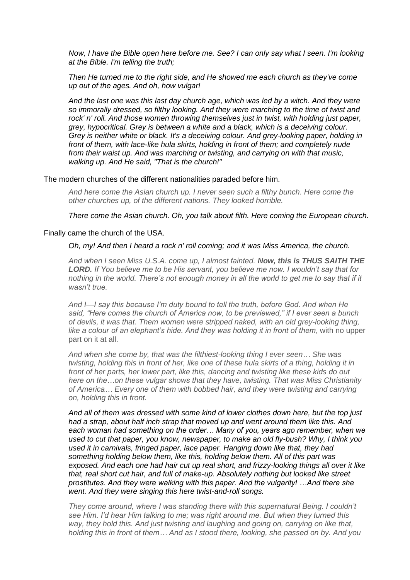*Now, I have the Bible open here before me. See? I can only say what I seen. I'm looking at the Bible. I'm telling the truth;*

*Then He turned me to the right side, and He showed me each church as they've come up out of the ages. And oh, how vulgar!* 

*And the last one was this last day church age, which was led by a witch. And they were so immorally dressed, so filthy looking. And they were marching to the time of twist and rock' n' roll. And those women throwing themselves just in twist, with holding just paper, grey, hypocritical. Grey is between a white and a black, which is a deceiving colour. Grey is neither white or black. It's a deceiving colour. And grey-looking paper, holding in front of them, with lace-like hula skirts, holding in front of them; and completely nude from their waist up. And was marching or twisting, and carrying on with that music, walking up. And He said, "That is the church!"*

#### The modern churches of the different nationalities paraded before him.

*And here come the Asian church up. I never seen such a filthy bunch. Here come the other churches up, of the different nations. They looked horrible.* 

*There come the Asian church. Oh, you talk about filth. Here coming the European church.*

#### Finally came the church of the USA.

### *Oh, my! And then I heard a rock n' roll coming; and it was Miss America, the church.*

*And when I seen Miss U.S.A. come up, I almost fainted. Now, this is THUS SAITH THE LORD. If You believe me to be His servant, you believe me now. I wouldn't say that for*  nothing in the world. There's not enough money in all the world to get me to say that if it *wasn't true.* 

*And I—I say this because I'm duty bound to tell the truth, before God. And when He said, "Here comes the church of America now, to be previewed," if I ever seen a bunch of devils, it was that. Them women were stripped naked, with an old grey-looking thing, like a colour of an elephant's hide. And they was holding it in front of them*, with no upper part on it at all.

*And when she come by, that was the filthiest-looking thing I ever seen… She was twisting, holding this in front of her, like one of these hula skirts of a thing, holding it in front of her parts, her lower part, like this, dancing and twisting like these kids do out here on the…on these vulgar shows that they have, twisting. That was Miss Christianity of America… Every one of them with bobbed hair, and they were twisting and carrying on, holding this in front.* 

*And all of them was dressed with some kind of lower clothes down here, but the top just had a strap, about half inch strap that moved up and went around them like this. And each woman had something on the order… Many of you, years ago remember, when we used to cut that paper, you know, newspaper, to make an old fly-bush? Why, I think you used it in carnivals, fringed paper, lace paper. Hanging down like that, they had something holding below them, like this, holding below them. All of this part was exposed. And each one had hair cut up real short, and frizzy-looking things all over it like that, real short cut hair, and full of make-up. Absolutely nothing but looked like street prostitutes. And they were walking with this paper. And the vulgarity! …And there she went. And they were singing this here twist-and-roll songs.*

*They come around, where I was standing there with this supernatural Being. I couldn't see Him. I'd hear Him talking to me; was right around me. But when they turned this way, they hold this. And just twisting and laughing and going on, carrying on like that, holding this in front of them… And as I stood there, looking, she passed on by. And you*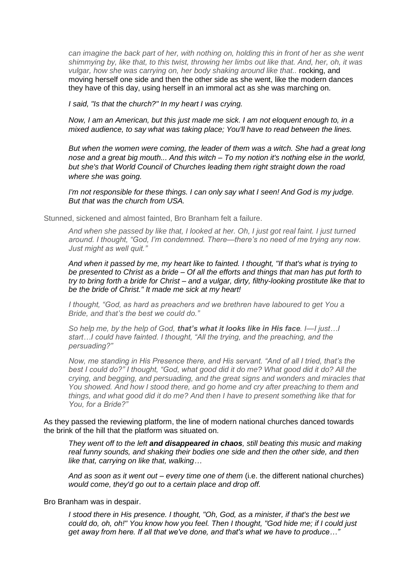*can imagine the back part of her, with nothing on, holding this in front of her as she went shimmying by, like that, to this twist, throwing her limbs out like that. And, her, oh, it was vulgar, how she was carrying on, her body shaking around like that..* rocking, and moving herself one side and then the other side as she went, like the modern dances they have of this day, using herself in an immoral act as she was marching on.

*I said, "Is that the church?" In my heart I was crying.* 

*Now, I am an American, but this just made me sick. I am not eloquent enough to, in a mixed audience, to say what was taking place; You'll have to read between the lines.* 

*But when the women were coming, the leader of them was a witch. She had a great long nose and a great big mouth... And this witch – To my notion it's nothing else in the world, but she's that World Council of Churches leading them right straight down the road where she was going.*

*I'm not responsible for these things. I can only say what I seen! And God is my judge. But that was the church from USA.*

Stunned, sickened and almost fainted, Bro Branham felt a failure.

*And when she passed by like that, I looked at her. Oh, I just got real faint. I just turned around. I thought, "God, I'm condemned. There—there's no need of me trying any now. Just might as well quit."* 

*And when it passed by me, my heart like to fainted. I thought, "If that's what is trying to be presented to Christ as a bride – Of all the efforts and things that man has put forth to try to bring forth a bride for Christ – and a vulgar, dirty, filthy-looking prostitute like that to be the bride of Christ." It made me sick at my heart!*

*I thought, "God, as hard as preachers and we brethren have laboured to get You a Bride, and that's the best we could do."* 

*So help me, by the help of God, that's what it looks like in His face. I—I just…I start…I could have fainted. I thought, "All the trying, and the preaching, and the persuading?"* 

*Now, me standing in His Presence there, and His servant. "And of all I tried, that's the best I could do?" I thought, "God, what good did it do me? What good did it do? All the crying, and begging, and persuading, and the great signs and wonders and miracles that You showed. And how I stood there, and go home and cry after preaching to them and things, and what good did it do me? And then I have to present something like that for You, for a Bride?"* 

As they passed the reviewing platform, the line of modern national churches danced towards the brink of the hill that the platform was situated on.

*They went off to the left and disappeared in chaos, still beating this music and making real funny sounds, and shaking their bodies one side and then the other side, and then like that, carrying on like that, walking…*

*And as soon as it went out – every time one of them* (i.e. the different national churches) *would come, they'd go out to a certain place and drop off.* 

Bro Branham was in despair.

*I stood there in His presence. I thought, "Oh, God, as a minister, if that's the best we could do, oh, oh!" You know how you feel. Then I thought, "God hide me; if I could just get away from here. If all that we've done, and that's what we have to produce…"*